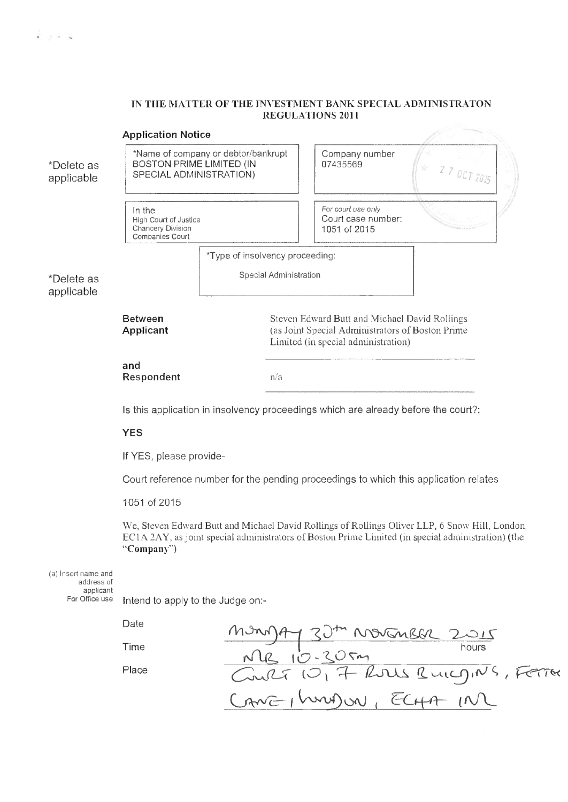## **IN THE MATTER OE THE IN\ ESTMENT BANK SPECIAL ADMINISTKATON REGULATIONS 2011**

| <b>Application Notice</b> |                                                                                            |                                 |                                                                                                                                           |                                                          |           |
|---------------------------|--------------------------------------------------------------------------------------------|---------------------------------|-------------------------------------------------------------------------------------------------------------------------------------------|----------------------------------------------------------|-----------|
| *Delete as<br>applicable  | *Name of company or debtor/bankrupt<br>BOSTON PRIME LIMITED (IN<br>SPECIAL ADMINISTRATION) |                                 |                                                                                                                                           | Company number<br>07435569                               | 270072015 |
|                           | In the<br>High Court of Justice<br>Chancery Division<br>Companies Court                    |                                 |                                                                                                                                           | For court use only<br>Court case number:<br>1051 of 2015 |           |
|                           |                                                                                            | *Type of insolvency proceeding: |                                                                                                                                           |                                                          |           |
| *Delete as<br>applicable  |                                                                                            |                                 | Special Administration                                                                                                                    |                                                          |           |
|                           | <b>Between</b><br>Applicant                                                                |                                 | Steven Edward Butt and Michael David Rollings<br>(as Joint Special Administrators of Boston Prime)<br>Limited (in special administration) |                                                          |           |
|                           | and<br>Respondent                                                                          |                                 | n/a                                                                                                                                       |                                                          |           |
|                           | Is this application in insolvency proceedings which are already before the court?:         |                                 |                                                                                                                                           |                                                          |           |
|                           | <b>YES</b>                                                                                 |                                 |                                                                                                                                           |                                                          |           |

If YES, please provide-

Court reference number for the pending proceedings to which this application relates

1051 of 2015

We, Steven Edward Butt and Michael David Rollings of Rollings Oliver LLP, 6 Snow Hill, London, EC1A 2AY, as joint special administrators of Boston Prime Limited (in special administration) (the **"Company")**

(a) Insert name and address of applicant<br>For Office use

 $k \rightarrow +\infty$ 

Intend to apply to the Judge on:-

Date  $I$  $O$ <sub>1</sub>  $I$ *f*  $I$ Time and a set of the set of the hours Place